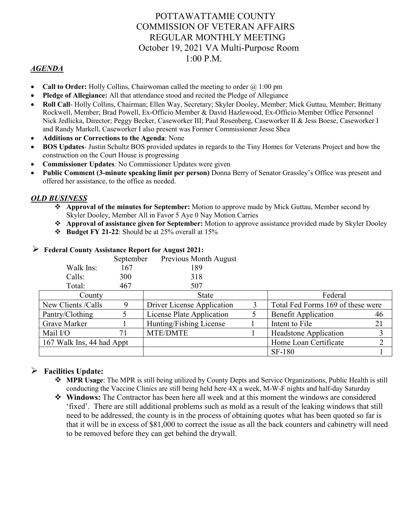## POTTAWATTAMIE COUNTY COMMISSION OF VETERAN AFFAIRS REGULAR MONTHLY MEETING October 19, 2021 VA Multi-Purpose Room 1:00 P.M.

## *AGENDA*

- **Call to Order:** Holly Collins, Chairwoman called the meeting to order  $\omega$  1:00 pm
- **Pledge of Allegiance:** All that attendance stood and recited the Pledge of Allegiance
- **Roll Call** Holly Collins, Chairman; Ellen Way, Secretary; Skyler Dooley, Member; Mick Guttau, Member; Brittany Rockwell, Member; Brad Powell, Ex-Officio Member & David Hazlewood, Ex-Officio Member Office Personnel Nick Jedlicka, Director; Peggy Becker, Caseworker III; Paul Rosenberg, Caseworker II & Jess Boese, Caseworker I and Randy Markell, Caseworker I also present was Former Commissioner Jesse Shea
- **Additions or Corrections to the Agenda**: None
- **BOS Updates** Justin Schultz BOS provided updates in regards to the Tiny Homes for Veterans Project and how the construction on the Court House is progressing
- **Commissioner Updates**: No Commissioner Updates were given
- **Public Comment (3-minute speaking limit per person)** Donna Berry of Senator Grassley's Office was present and offered her assistance, to the office as needed.

#### *OLD BUSINESS*

- **Approval of the minutes for September:** Motion to approve made by Mick Guttau, Member second by Skyler Dooley, Member All in Favor 5 Aye 0 Nay Motion Carries
- **Approval of assistance given for September:** Motion to approve assistance provided made by Skyler Dooley
- **Budget FY 21-22**: Should be at 25% overall at 15%

|                           | September | Previous Month August      |   |                                   |    |
|---------------------------|-----------|----------------------------|---|-----------------------------------|----|
| Walk Ins:                 | 167       | 189                        |   |                                   |    |
| Calls:                    | 300       | 318                        |   |                                   |    |
| Total:                    | 467       | 507                        |   |                                   |    |
| County                    |           | State                      |   | Federal                           |    |
| New Clients / Calls       | 9         | Driver License Application | 3 | Total Fed Forms 169 of these were |    |
| Pantry/Clothing           |           | License Plate Application  |   | <b>Benefit Application</b>        | 46 |
| Grave Marker              |           | Hunting/Fishing License    |   | Intent to File                    | 21 |
| Mail I/O                  | 71        | MTE/DMTE                   |   | <b>Headstone Application</b>      | 3  |
| 167 Walk Ins, 44 had Appt |           |                            |   | Home Loan Certificate             | 2  |
|                           |           |                            |   | <b>SF-180</b>                     |    |

#### **Federal County Assistance Report for August 2021:**

### **Facilities Update:**

- **MPR Usage**: The MPR is still being utilized by County Depts and Service Organizations, Public Health is still conducting the Vaccine Clinics are still being held here 4X a week, M-W-F nights and half-day Saturday
- **Windows:** The Contractor has been here all week and at this moment the windows are considered 'fixed'. There are still additional problems such as mold as a result of the leaking windows that still need to be addressed, the county is in the process of obtaining quotes what has been quoted so far is that it will be in excess of \$81,000 to correct the issue as all the back counters and cabinetry will need to be removed before they can get behind the drywall.